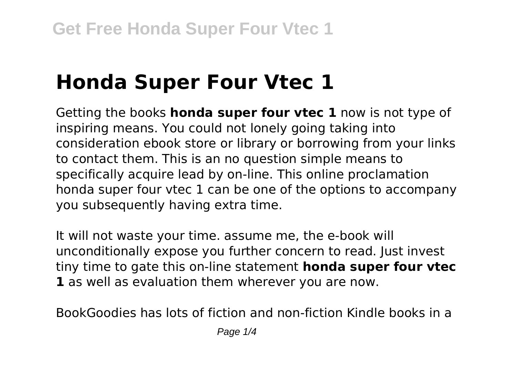# **Honda Super Four Vtec 1**

Getting the books **honda super four vtec 1** now is not type of inspiring means. You could not lonely going taking into consideration ebook store or library or borrowing from your links to contact them. This is an no question simple means to specifically acquire lead by on-line. This online proclamation honda super four vtec 1 can be one of the options to accompany you subsequently having extra time.

It will not waste your time. assume me, the e-book will unconditionally expose you further concern to read. Just invest tiny time to gate this on-line statement **honda super four vtec 1** as well as evaluation them wherever you are now.

BookGoodies has lots of fiction and non-fiction Kindle books in a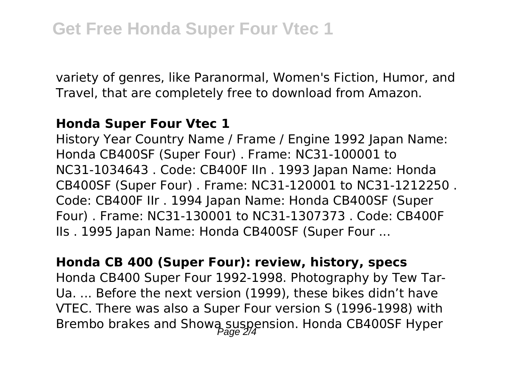variety of genres, like Paranormal, Women's Fiction, Humor, and Travel, that are completely free to download from Amazon.

### **Honda Super Four Vtec 1**

History Year Country Name / Frame / Engine 1992 Japan Name: Honda CB400SF (Super Four) . Frame: NC31-100001 to NC31-1034643 . Code: CB400F IIn . 1993 Japan Name: Honda CB400SF (Super Four) . Frame: NC31-120001 to NC31-1212250 . Code: CB400F IIr . 1994 Japan Name: Honda CB400SF (Super Four) . Frame: NC31-130001 to NC31-1307373 . Code: CB400F IIs . 1995 Japan Name: Honda CB400SF (Super Four ...

## **Honda CB 400 (Super Four): review, history, specs**

Honda CB400 Super Four 1992-1998. Photography by Tew Tar-Ua. ... Before the next version (1999), these bikes didn't have VTEC. There was also a Super Four version S (1996-1998) with Brembo brakes and Showa suspension. Honda CB400SF Hyper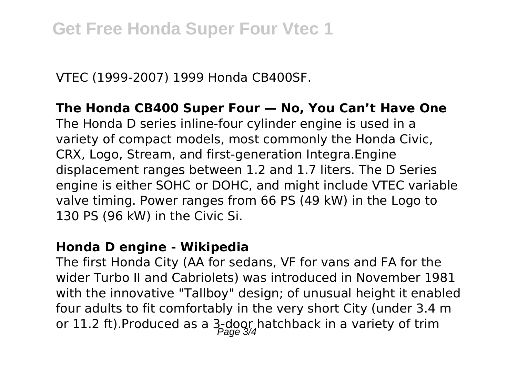VTEC (1999-2007) 1999 Honda CB400SF.

**The Honda CB400 Super Four — No, You Can't Have One** The Honda D series inline-four cylinder engine is used in a variety of compact models, most commonly the Honda Civic, CRX, Logo, Stream, and first-generation Integra.Engine displacement ranges between 1.2 and 1.7 liters. The D Series engine is either SOHC or DOHC, and might include VTEC variable valve timing. Power ranges from 66 PS (49 kW) in the Logo to 130 PS (96 kW) in the Civic Si.

#### **Honda D engine - Wikipedia**

The first Honda City (AA for sedans, VF for vans and FA for the wider Turbo II and Cabriolets) was introduced in November 1981 with the innovative "Tallboy" design; of unusual height it enabled four adults to fit comfortably in the very short City (under 3.4 m or 11.2 ft).Produced as a  $3-200$  hatchback in a variety of trim